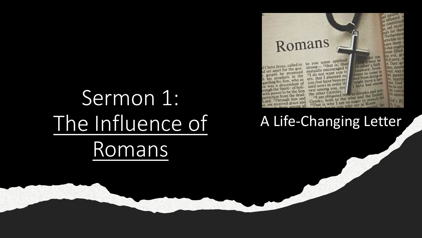# Sermon 1: The Influence of Romans



A Life-Changing Letter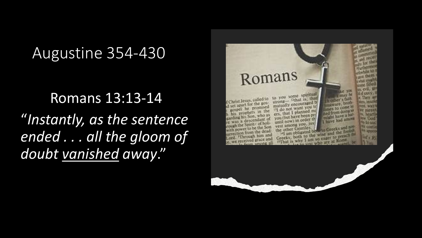#### Augustine 354-430

#### Romans 13:13-14

"*Instantly, as the sentence ended . . . all the gloom of doubt vanished away*."

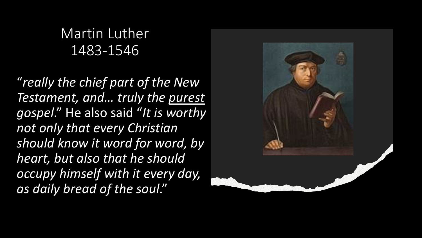#### Martin Luther 1483-1546

"*really the chief part of the New Testament, and… truly the purest gospel*." He also said "*It is worthy not only that every Christian should know it word for word, by heart, but also that he should occupy himself with it every day, as daily bread of the soul*."

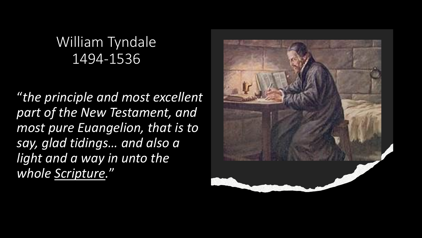#### William Tyndale 1494-1536

"*the principle and most excellent part of the New Testament, and most pure Euangelion, that is to say, glad tidings… and also a light and a way in unto the whole Scripture.*"

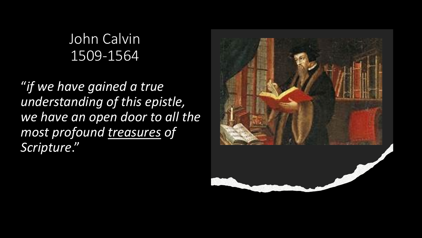#### John Calvin 1509-1564

"*if we have gained a true understanding of this epistle, we have an open door to all the most profound treasures of Scripture*."

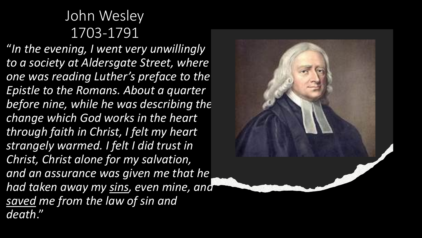#### John Wesley 1703-1791

"*In the evening, I went very unwillingly to a society at Aldersgate Street, where one was reading Luther's preface to the Epistle to the Romans. About a quarter before nine, while he was describing the change which God works in the heart through faith in Christ, I felt my heart strangely warmed. I felt I did trust in Christ, Christ alone for my salvation, and an assurance was given me that he had taken away my sins, even mine, and saved me from the law of sin and death*."

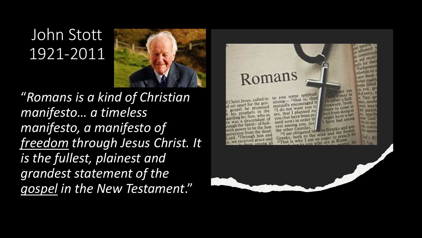## John Stott 1921-2011



"*Romans is a kind of Christian manifesto… a timeless manifesto, a manifesto of freedom through Jesus Christ. It is the fullest, plainest and grandest statement of the gospel in the New Testament*."

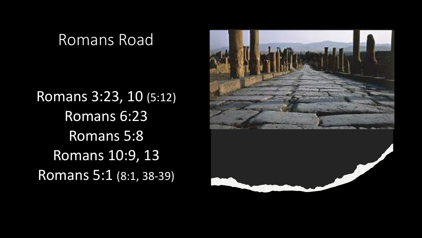#### Romans Road

Romans 3:23, 10 (5:12) Romans 6:23 Romans 5:8 Romans 10:9, 13 Romans 5:1 (8:1, 38-39)

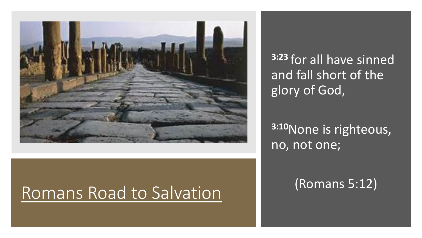

**3:23** for all have sinned and fall short of the glory of God,

#### **3:10**None is righteous, no, not one;

(Romans 5:12)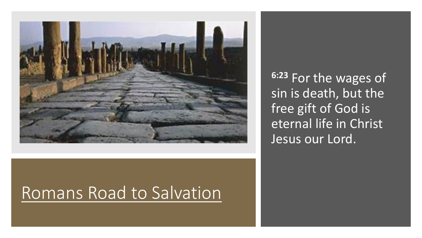

**6:23** For the wages of sin is death, but the free gift of God is eternal life in Christ Jesus our Lord.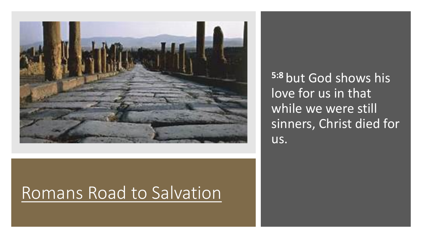

**5:8** but God shows his love for us in that while we were still sinners, Christ died for us.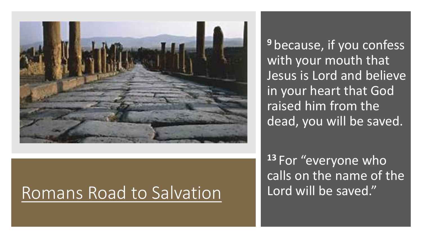

**<sup>9</sup>** because, if you confess with your mouth that Jesus is Lord and believe in your heart that God raised him from the dead, you will be saved.

**<sup>13</sup>** For "everyone who calls on the name of the Lord will be saved."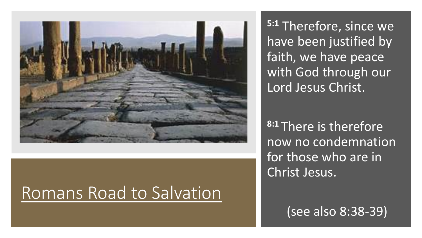

**5:1** Therefore, since we have been justified by faith, we have peace with God through our Lord Jesus Christ.

**8:1** There is therefore now no condemnation for those who are in Christ Jesus.

(see also 8:38-39)